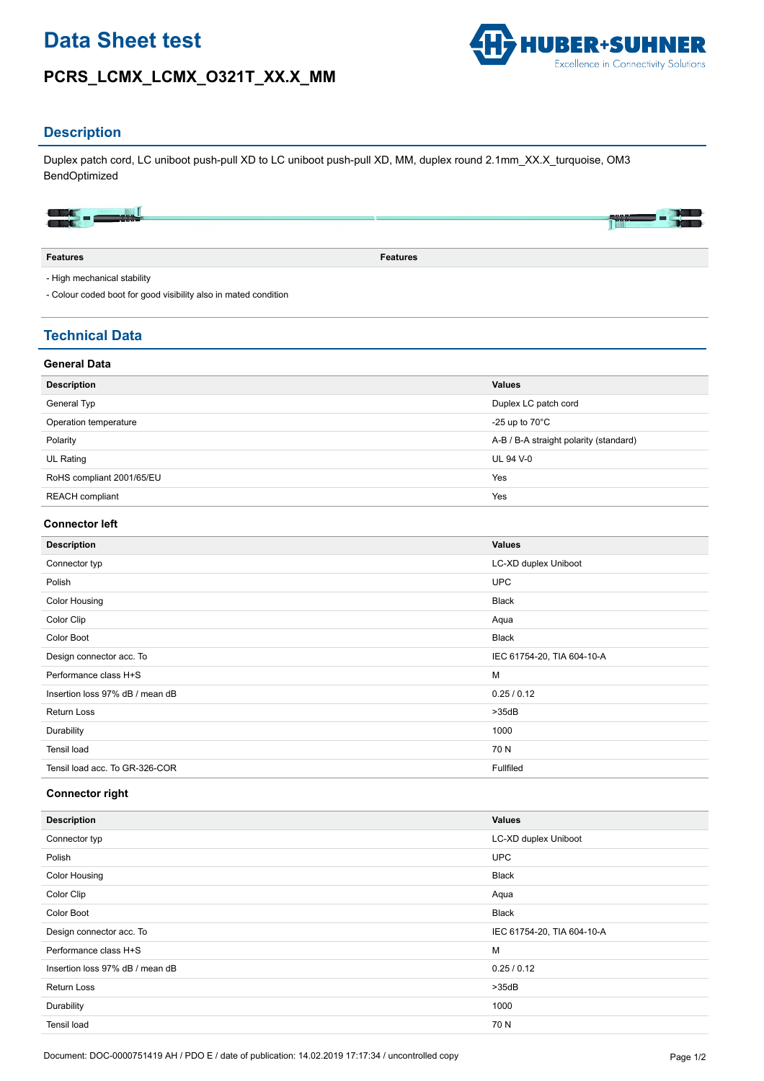# **Data Sheet test**

## **PCRS\_LCMX\_LCMX\_O321T\_XX.X\_MM**



### **Description**

Duplex patch cord, LC uniboot push-pull XD to LC uniboot push-pull XD, MM, duplex round 2.1mm\_XX.X\_turquoise, OM3 BendOptimized

|     | ---                      |
|-----|--------------------------|
| --- | <b>The Second Second</b> |

**Features Features**

- High mechanical stability

- Colour coded boot for good visibility also in mated condition

## **Technical Data**

#### **General Data**

| <b>Description</b>        | <b>Values</b>                          |
|---------------------------|----------------------------------------|
| General Typ               | Duplex LC patch cord                   |
| Operation temperature     | -25 up to $70^{\circ}$ C               |
| Polarity                  | A-B / B-A straight polarity (standard) |
| UL Rating                 | <b>UL 94 V-0</b>                       |
| RoHS compliant 2001/65/EU | Yes                                    |
| REACH compliant           | Yes                                    |

#### **Connector left**

| <b>Description</b>              | <b>Values</b>              |
|---------------------------------|----------------------------|
| Connector typ                   | LC-XD duplex Uniboot       |
| Polish                          | <b>UPC</b>                 |
| <b>Color Housing</b>            | <b>Black</b>               |
| Color Clip                      | Aqua                       |
| Color Boot                      | <b>Black</b>               |
| Design connector acc. To        | IEC 61754-20, TIA 604-10-A |
| Performance class H+S           | M                          |
| Insertion loss 97% dB / mean dB | 0.25/0.12                  |
| <b>Return Loss</b>              | >35dB                      |
| Durability                      | 1000                       |
| Tensil load                     | 70 N                       |
| Tensil load acc. To GR-326-COR  | Fullfiled                  |

#### **Connector right**

| <b>Description</b>              | <b>Values</b>              |
|---------------------------------|----------------------------|
| Connector typ                   | LC-XD duplex Uniboot       |
| Polish                          | <b>UPC</b>                 |
| <b>Color Housing</b>            | <b>Black</b>               |
| Color Clip                      | Aqua                       |
| Color Boot                      | <b>Black</b>               |
| Design connector acc. To        | IEC 61754-20, TIA 604-10-A |
| Performance class H+S           | M                          |
| Insertion loss 97% dB / mean dB | 0.25/0.12                  |
| <b>Return Loss</b>              | >35dB                      |
| Durability                      | 1000                       |
| Tensil load                     | 70 N                       |